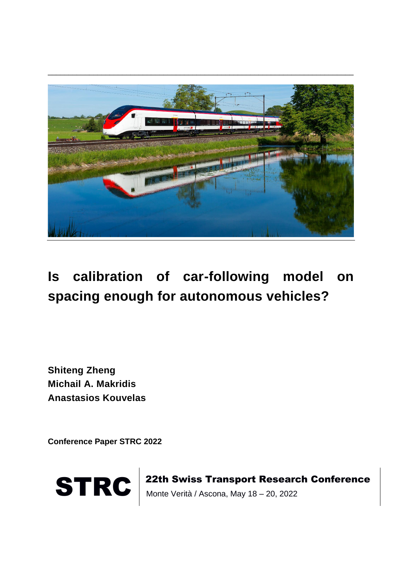

## **Is calibration of car-following model on spacing enough for autonomous vehicles?**

**Shiteng Zheng Michail A. Makridis Anastasios Kouvelas**

**Conference Paper STRC 2022**



STRC | 22th Swiss Transport Research Conference<br>Monte Verità / Ascona, May 18 – 20, 2022